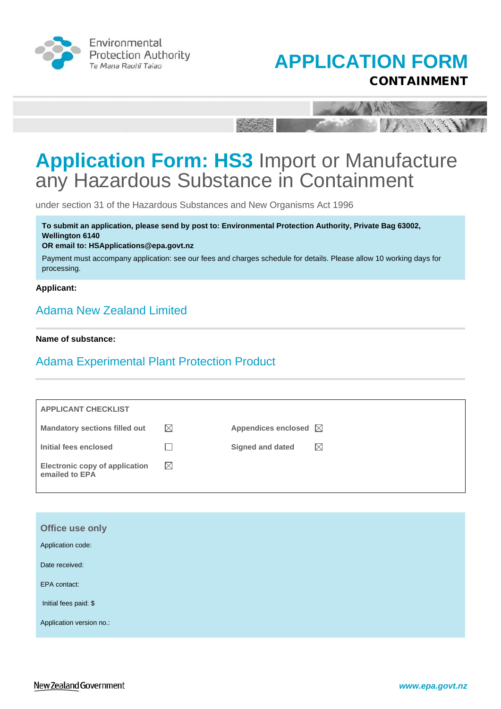



A letter

The State of the A

# **Application Form: HS3** Import or Manufacture any Hazardous Substance in Containment

**Pitts** 

under section 31 of the Hazardous Substances and New Organisms Act 1996

**To submit an application, please send by post to: Environmental Protection Authority, Private Bag 63002, Wellington 6140** 

#### **OR email to: HSApplications@epa.govt.nz**

Payment must accompany application: see our fees and charges schedule for details. Please allow 10 working days for processing.

#### **Applicant:**

### Adama New Zealand Limited

#### **Name of substance:**

### Adama Experimental Plant Protection Product

| <b>APPLICANT CHECKLIST</b>                              |             |                                 |             |
|---------------------------------------------------------|-------------|---------------------------------|-------------|
| <b>Mandatory sections filled out</b>                    | $\boxtimes$ | Appendices enclosed $\boxtimes$ |             |
| Initial fees enclosed                                   |             | Signed and dated                | $\boxtimes$ |
| <b>Electronic copy of application</b><br>emailed to EPA | $\boxtimes$ |                                 |             |

| Office use only          |  |  |
|--------------------------|--|--|
| Application code:        |  |  |
| Date received:           |  |  |
| EPA contact:             |  |  |
| Initial fees paid: \$    |  |  |
| Application version no.: |  |  |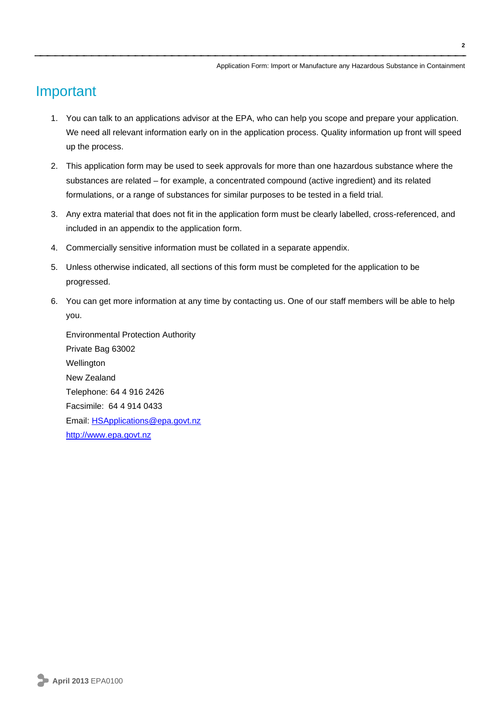## Important

- 1. You can talk to an applications advisor at the EPA, who can help you scope and prepare your application. We need all relevant information early on in the application process. Quality information up front will speed up the process.
- 2. This application form may be used to seek approvals for more than one hazardous substance where the substances are related – for example, a concentrated compound (active ingredient) and its related formulations, or a range of substances for similar purposes to be tested in a field trial.
- 3. Any extra material that does not fit in the application form must be clearly labelled, cross-referenced, and included in an appendix to the application form.
- 4. Commercially sensitive information must be collated in a separate appendix.
- 5. Unless otherwise indicated, all sections of this form must be completed for the application to be progressed.
- 6. You can get more information at any time by contacting us. One of our staff members will be able to help you.

Environmental Protection Authority Private Bag 63002 Wellington New Zealand Telephone: 64 4 916 2426 Facsimile: 64 4 914 0433 Email: [HSApplications@epa.govt.nz](mailto:HSApplications@epa.govt.nz) [http://www.epa.govt.nz](http://www.epa.govt.nz/)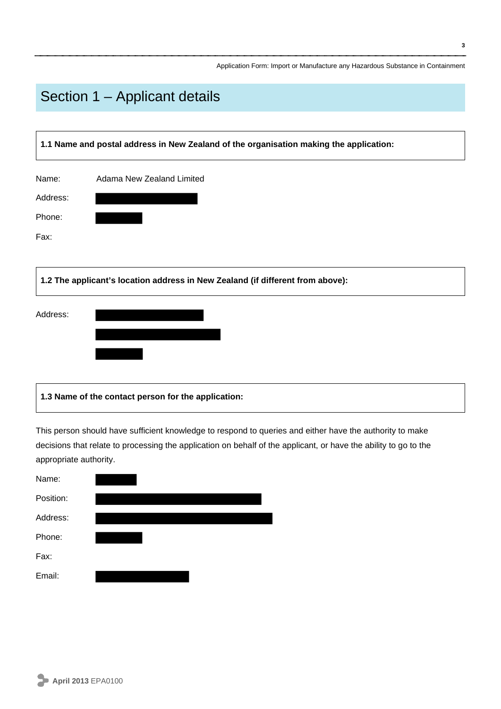## Section 1 – Applicant details

| 1.1 Name and postal address in New Zealand of the organisation making the application: |                                                                                |  |
|----------------------------------------------------------------------------------------|--------------------------------------------------------------------------------|--|
| Name:                                                                                  | Adama New Zealand Limited                                                      |  |
| Address:                                                                               |                                                                                |  |
| Phone:                                                                                 |                                                                                |  |
| Fax:                                                                                   |                                                                                |  |
|                                                                                        | 1.2 The applicant's location address in New Zealand (if different from above): |  |
| Address:                                                                               |                                                                                |  |
|                                                                                        |                                                                                |  |

### **1.3 Name of the contact person for the application:**

This person should have sufficient knowledge to respond to queries and either have the authority to make decisions that relate to processing the application on behalf of the applicant, or have the ability to go to the appropriate authority.

| Name:     |  |
|-----------|--|
| Position: |  |
| Address:  |  |
| Phone:    |  |
| Fax:      |  |
| Email:    |  |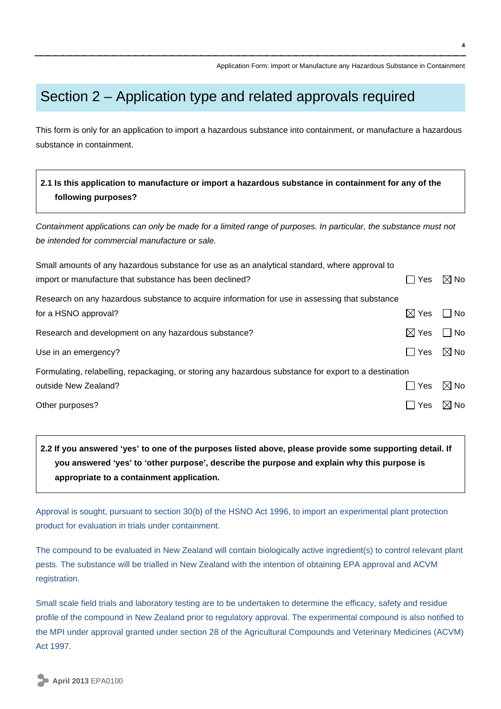## Section 2 – Application type and related approvals required

This form is only for an application to import a hazardous substance into containment, or manufacture a hazardous substance in containment.

### **2.1 Is this application to manufacture or import a hazardous substance in containment for any of the following purposes?**

*Containment applications can only be made for a limited range of purposes. In particular, the substance must not be intended for commercial manufacture or sale.*

| Small amounts of any hazardous substance for use as an analytical standard, where approval to         |                 |                                |
|-------------------------------------------------------------------------------------------------------|-----------------|--------------------------------|
| import or manufacture that substance has been declined?                                               | Yes             | $\boxtimes$ No                 |
| Research on any hazardous substance to acquire information for use in assessing that substance        |                 |                                |
| for a HSNO approval?                                                                                  | $\boxtimes$ Yes | N <sub>o</sub><br>$\mathsf{L}$ |
| Research and development on any hazardous substance?                                                  | $\boxtimes$ Yes | No<br>$\vert \ \ \vert$        |
| Use in an emergency?                                                                                  | l Yes           | $\boxtimes$ No                 |
| Formulating, relabelling, repackaging, or storing any hazardous substance for export to a destination |                 |                                |
| outside New Zealand?                                                                                  | ∣ I Yes         | $\boxtimes$ No                 |
| Other purposes?                                                                                       | Yes             | $\boxtimes$ No                 |

### **2.2 If you answered 'yes' to one of the purposes listed above, please provide some supporting detail. If you answered 'yes' to 'other purpose', describe the purpose and explain why this purpose is appropriate to a containment application.**

Approval is sought, pursuant to section 30(b) of the HSNO Act 1996, to import an experimental plant protection product for evaluation in trials under containment.

The compound to be evaluated in New Zealand will contain biologically active ingredient(s) to control relevant plant pests. The substance will be trialled in New Zealand with the intention of obtaining EPA approval and ACVM registration.

Small scale field trials and laboratory testing are to be undertaken to determine the efficacy, safety and residue profile of the compound in New Zealand prior to regulatory approval. The experimental compound is also notified to the MPI under approval granted under section 28 of the Agricultural Compounds and Veterinary Medicines (ACVM) Act 1997.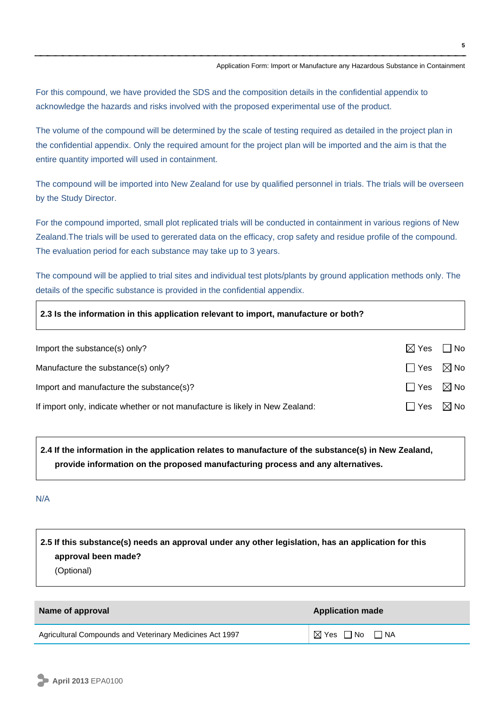For this compound, we have provided the SDS and the composition details in the confidential appendix to acknowledge the hazards and risks involved with the proposed experimental use of the product.

The volume of the compound will be determined by the scale of testing required as detailed in the project plan in the confidential appendix. Only the required amount for the project plan will be imported and the aim is that the entire quantity imported will used in containment.

The compound will be imported into New Zealand for use by qualified personnel in trials. The trials will be overseen by the Study Director.

For the compound imported, small plot replicated trials will be conducted in containment in various regions of New Zealand.The trials will be used to gererated data on the efficacy, crop safety and residue profile of the compound. The evaluation period for each substance may take up to 3 years.

The compound will be applied to trial sites and individual test plots/plants by ground application methods only. The details of the specific substance is provided in the confidential appendix.

| 2.3 Is the information in this application relevant to import, manufacture or both? |                 |                |
|-------------------------------------------------------------------------------------|-----------------|----------------|
| Import the substance(s) only?                                                       | $\boxtimes$ Yes | $\Box$ No      |
| Manufacture the substance(s) only?                                                  | l IYes          | $\boxtimes$ No |
| Import and manufacture the substance(s)?                                            | l I Yes         | $\boxtimes$ No |
| If import only, indicate whether or not manufacture is likely in New Zealand:       | l Yes           | $\boxtimes$ No |

**2.4 If the information in the application relates to manufacture of the substance(s) in New Zealand, provide information on the proposed manufacturing process and any alternatives.**

#### N/A

### **2.5 If this substance(s) needs an approval under any other legislation, has an application for this approval been made?** (Optional)

| Name of approval                                         | <b>Application made</b> |
|----------------------------------------------------------|-------------------------|
| Agricultural Compounds and Veterinary Medicines Act 1997 | ⊠ Yes □ No  □ NA        |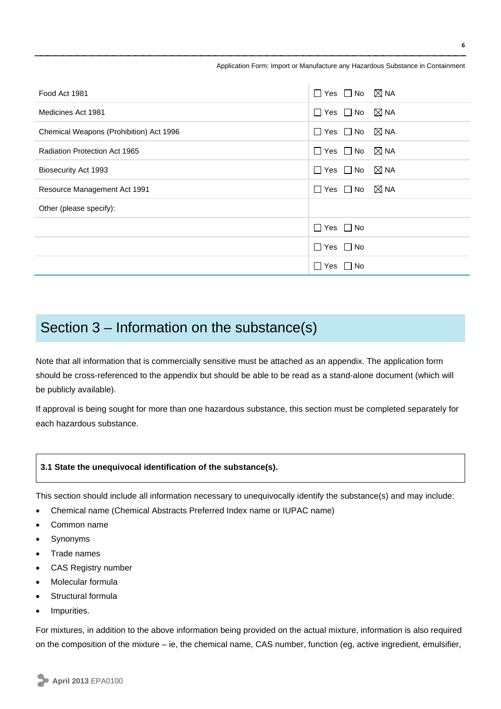| Food Act 1981                           | $\Box$ Yes $\Box$ No $\boxtimes$ NA    |
|-----------------------------------------|----------------------------------------|
| Medicines Act 1981                      | $\Box$ Yes $\Box$ No $\boxtimes$ NA    |
| Chemical Weapons (Prohibition) Act 1996 | $\Box$ Yes $\Box$ No $\boxtimes$ NA    |
| Radiation Protection Act 1965           | $\Box$ Yes $\Box$ No $\boxtimes$ NA    |
| Biosecurity Act 1993                    | $\boxtimes$ NA<br>$\Box$ Yes $\Box$ No |
| Resource Management Act 1991            | $\Box$ Yes $\Box$ No $\boxtimes$ NA    |
| Other (please specify):                 |                                        |
|                                         | $\Box$ Yes $\Box$ No                   |
|                                         | $\Box$ Yes $\Box$ No                   |
|                                         | $\Box$ Yes $\Box$ No                   |

## Section 3 – Information on the substance(s)

Note that all information that is commercially sensitive must be attached as an appendix. The application form should be cross-referenced to the appendix but should be able to be read as a stand-alone document (which will be publicly available).

If approval is being sought for more than one hazardous substance, this section must be completed separately for each hazardous substance.

#### **3.1 State the unequivocal identification of the substance(s).**

This section should include all information necessary to unequivocally identify the substance(s) and may include:

- Chemical name (Chemical Abstracts Preferred Index name or IUPAC name)
- Common name
- Synonyms
- Trade names
- CAS Registry number
- Molecular formula
- Structural formula
- Impurities.

For mixtures, in addition to the above information being provided on the actual mixture, information is also required on the composition of the mixture – ie, the chemical name, CAS number, function (eg, active ingredient, emulsifier,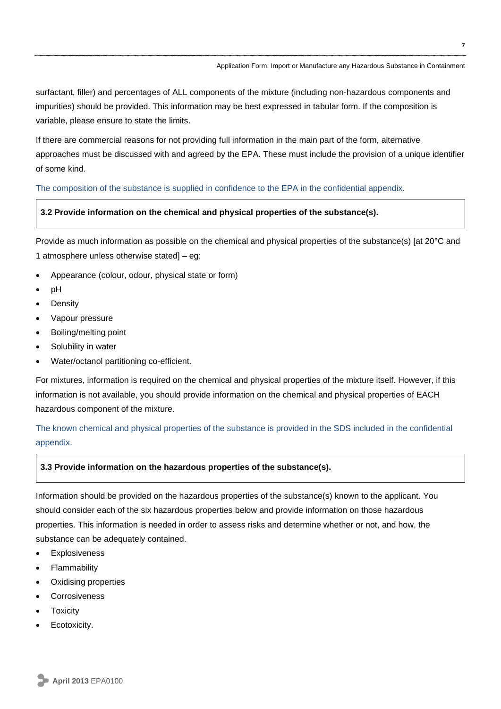surfactant, filler) and percentages of ALL components of the mixture (including non-hazardous components and impurities) should be provided. This information may be best expressed in tabular form. If the composition is variable, please ensure to state the limits.

If there are commercial reasons for not providing full information in the main part of the form, alternative approaches must be discussed with and agreed by the EPA. These must include the provision of a unique identifier of some kind.

#### The composition of the substance is supplied in confidence to the EPA in the confidential appendix.

#### **3.2 Provide information on the chemical and physical properties of the substance(s).**

Provide as much information as possible on the chemical and physical properties of the substance(s) [at 20°C and 1 atmosphere unless otherwise stated] – eg:

- Appearance (colour, odour, physical state or form)
- pH
- Density
- Vapour pressure
- Boiling/melting point
- Solubility in water
- Water/octanol partitioning co-efficient.

For mixtures, information is required on the chemical and physical properties of the mixture itself. However, if this information is not available, you should provide information on the chemical and physical properties of EACH hazardous component of the mixture.

The known chemical and physical properties of the substance is provided in the SDS included in the confidential appendix.

#### **3.3 Provide information on the hazardous properties of the substance(s).**

Information should be provided on the hazardous properties of the substance(s) known to the applicant. You should consider each of the six hazardous properties below and provide information on those hazardous properties. This information is needed in order to assess risks and determine whether or not, and how, the substance can be adequately contained.

- Explosiveness
- **Flammability**
- Oxidising properties
- Corrosiveness
- Toxicity
- Ecotoxicity.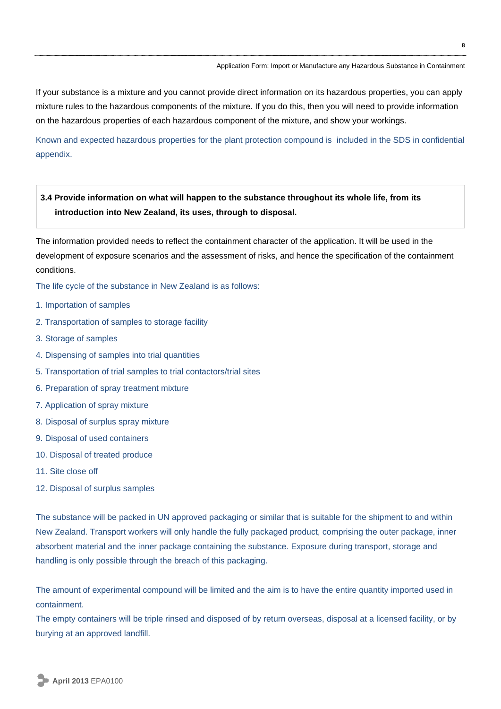If your substance is a mixture and you cannot provide direct information on its hazardous properties, you can apply mixture rules to the hazardous components of the mixture. If you do this, then you will need to provide information on the hazardous properties of each hazardous component of the mixture, and show your workings.

Known and expected hazardous properties for the plant protection compound is included in the SDS in confidential appendix.

### **3.4 Provide information on what will happen to the substance throughout its whole life, from its introduction into New Zealand, its uses, through to disposal.**

The information provided needs to reflect the containment character of the application. It will be used in the development of exposure scenarios and the assessment of risks, and hence the specification of the containment conditions.

The life cycle of the substance in New Zealand is as follows:

- 1. Importation of samples
- 2. Transportation of samples to storage facility
- 3. Storage of samples
- 4. Dispensing of samples into trial quantities
- 5. Transportation of trial samples to trial contactors/trial sites
- 6. Preparation of spray treatment mixture
- 7. Application of spray mixture
- 8. Disposal of surplus spray mixture
- 9. Disposal of used containers
- 10. Disposal of treated produce
- 11. Site close off
- 12. Disposal of surplus samples

The substance will be packed in UN approved packaging or similar that is suitable for the shipment to and within New Zealand. Transport workers will only handle the fully packaged product, comprising the outer package, inner absorbent material and the inner package containing the substance. Exposure during transport, storage and handling is only possible through the breach of this packaging.

The amount of experimental compound will be limited and the aim is to have the entire quantity imported used in containment.

The empty containers will be triple rinsed and disposed of by return overseas, disposal at a licensed facility, or by burying at an approved landfill.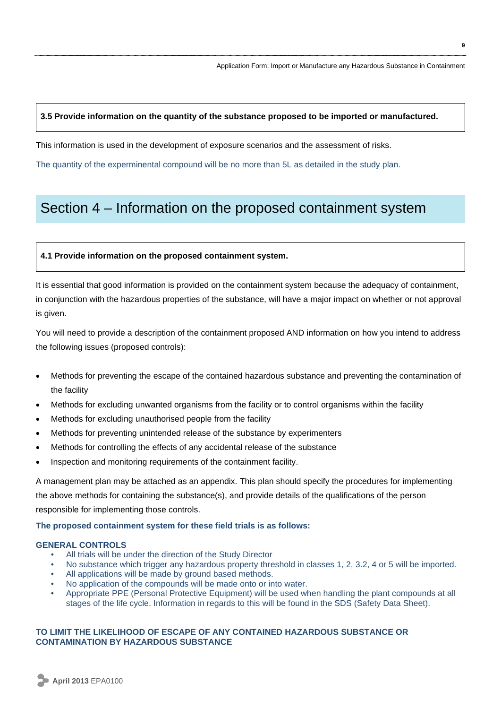#### **3.5 Provide information on the quantity of the substance proposed to be imported or manufactured.**

This information is used in the development of exposure scenarios and the assessment of risks.

The quantity of the experminental compound will be no more than 5L as detailed in the study plan.

## Section 4 – Information on the proposed containment system

#### **4.1 Provide information on the proposed containment system.**

It is essential that good information is provided on the containment system because the adequacy of containment, in conjunction with the hazardous properties of the substance, will have a major impact on whether or not approval is given.

You will need to provide a description of the containment proposed AND information on how you intend to address the following issues (proposed controls):

- Methods for preventing the escape of the contained hazardous substance and preventing the contamination of the facility
- Methods for excluding unwanted organisms from the facility or to control organisms within the facility
- Methods for excluding unauthorised people from the facility
- Methods for preventing unintended release of the substance by experimenters
- Methods for controlling the effects of any accidental release of the substance
- Inspection and monitoring requirements of the containment facility.

A management plan may be attached as an appendix. This plan should specify the procedures for implementing the above methods for containing the substance(s), and provide details of the qualifications of the person responsible for implementing those controls.

#### **The proposed containment system for these field trials is as follows:**

#### **GENERAL CONTROLS**

- All trials will be under the direction of the Study Director
- No substance which trigger any hazardous property threshold in classes 1, 2, 3.2, 4 or 5 will be imported.
- All applications will be made by ground based methods.
- No application of the compounds will be made onto or into water.
- Appropriate PPE (Personal Protective Equipment) will be used when handling the plant compounds at all stages of the life cycle. Information in regards to this will be found in the SDS (Safety Data Sheet).

#### **TO LIMIT THE LIKELIHOOD OF ESCAPE OF ANY CONTAINED HAZARDOUS SUBSTANCE OR CONTAMINATION BY HAZARDOUS SUBSTANCE**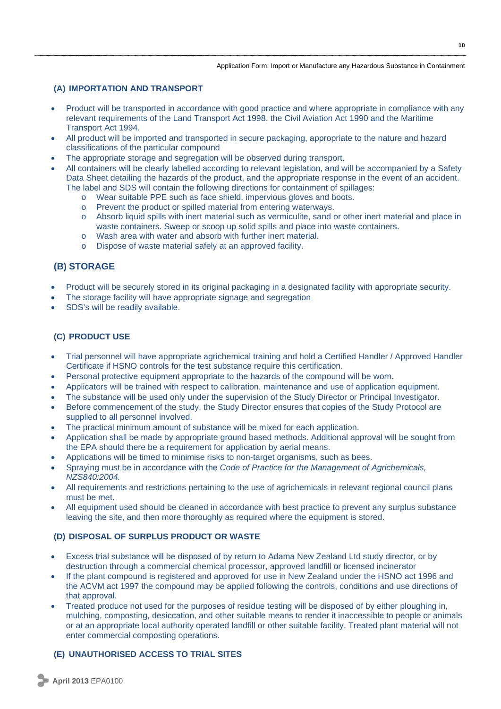#### **(A) IMPORTATION AND TRANSPORT**

- Product will be transported in accordance with good practice and where appropriate in compliance with any relevant requirements of the Land Transport Act 1998, the Civil Aviation Act 1990 and the Maritime Transport Act 1994.
- All product will be imported and transported in secure packaging, appropriate to the nature and hazard classifications of the particular compound
- The appropriate storage and segregation will be observed during transport.
- All containers will be clearly labelled according to relevant legislation, and will be accompanied by a Safety Data Sheet detailing the hazards of the product, and the appropriate response in the event of an accident. The label and SDS will contain the following directions for containment of spillages:
	- o Wear suitable PPE such as face shield, impervious gloves and boots.
	- o Prevent the product or spilled material from entering waterways.
	- o Absorb liquid spills with inert material such as vermiculite, sand or other inert material and place in waste containers. Sweep or scoop up solid spills and place into waste containers.
	- o Wash area with water and absorb with further inert material.
	- o Dispose of waste material safely at an approved facility.

### **(B) STORAGE**

- Product will be securely stored in its original packaging in a designated facility with appropriate security.
- The storage facility will have appropriate signage and segregation
- SDS's will be readily available.

#### **(C) PRODUCT USE**

- Trial personnel will have appropriate agrichemical training and hold a Certified Handler / Approved Handler Certificate if HSNO controls for the test substance require this certification.
- Personal protective equipment appropriate to the hazards of the compound will be worn.
- Applicators will be trained with respect to calibration, maintenance and use of application equipment.
- The substance will be used only under the supervision of the Study Director or Principal Investigator.
- Before commencement of the study, the Study Director ensures that copies of the Study Protocol are supplied to all personnel involved.
- The practical minimum amount of substance will be mixed for each application.
- Application shall be made by appropriate ground based methods. Additional approval will be sought from the EPA should there be a requirement for application by aerial means.
- Applications will be timed to minimise risks to non-target organisms, such as bees.
- Spraying must be in accordance with the *Code of Practice for the Management of Agrichemicals, NZS840:2004.*
- All requirements and restrictions pertaining to the use of agrichemicals in relevant regional council plans must be met.
- All equipment used should be cleaned in accordance with best practice to prevent any surplus substance leaving the site, and then more thoroughly as required where the equipment is stored.

#### **(D) DISPOSAL OF SURPLUS PRODUCT OR WASTE**

- Excess trial substance will be disposed of by return to Adama New Zealand Ltd study director, or by destruction through a commercial chemical processor, approved landfill or licensed incinerator
- If the plant compound is registered and approved for use in New Zealand under the HSNO act 1996 and the ACVM act 1997 the compound may be applied following the controls, conditions and use directions of that approval.
- Treated produce not used for the purposes of residue testing will be disposed of by either ploughing in, mulching, composting, desiccation, and other suitable means to render it inaccessible to people or animals or at an appropriate local authority operated landfill or other suitable facility. Treated plant material will not enter commercial composting operations.

### **(E) UNAUTHORISED ACCESS TO TRIAL SITES**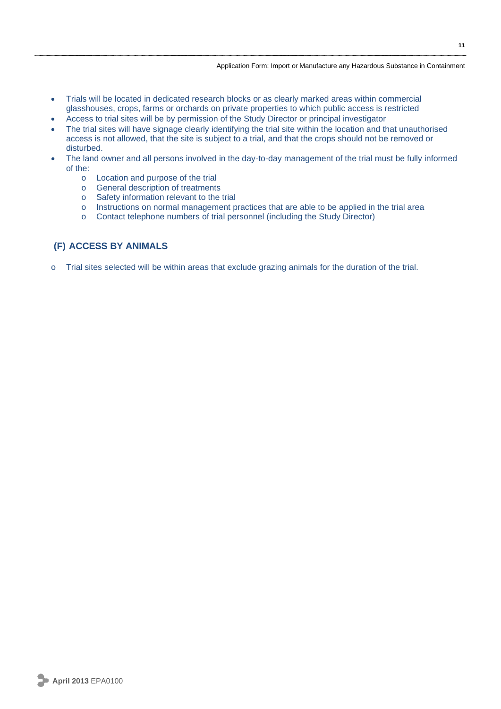- Trials will be located in dedicated research blocks or as clearly marked areas within commercial glasshouses, crops, farms or orchards on private properties to which public access is restricted
- Access to trial sites will be by permission of the Study Director or principal investigator
- The trial sites will have signage clearly identifying the trial site within the location and that unauthorised access is not allowed, that the site is subject to a trial, and that the crops should not be removed or disturbed.
- The land owner and all persons involved in the day-to-day management of the trial must be fully informed of the:
	- o Location and purpose of the trial
	- o General description of treatments
	- o Safety information relevant to the trial
	- o Instructions on normal management practices that are able to be applied in the trial area
	- o Contact telephone numbers of trial personnel (including the Study Director)

#### **(F) ACCESS BY ANIMALS**

o Trial sites selected will be within areas that exclude grazing animals for the duration of the trial.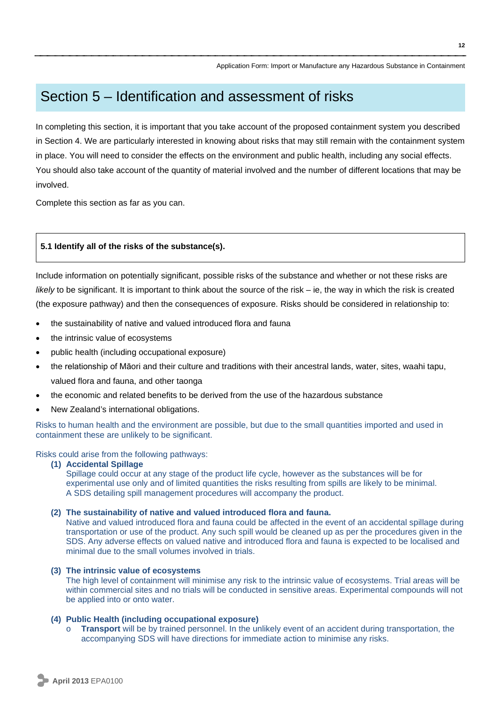## Section 5 – Identification and assessment of risks

In completing this section, it is important that you take account of the proposed containment system you described in Section 4. We are particularly interested in knowing about risks that may still remain with the containment system in place. You will need to consider the effects on the environment and public health, including any social effects. You should also take account of the quantity of material involved and the number of different locations that may be involved.

Complete this section as far as you can.

#### **5.1 Identify all of the risks of the substance(s).**

Include information on potentially significant, possible risks of the substance and whether or not these risks are *likely* to be significant. It is important to think about the source of the risk – ie, the way in which the risk is created (the exposure pathway) and then the consequences of exposure. Risks should be considered in relationship to:

- the sustainability of native and valued introduced flora and fauna
- the intrinsic value of ecosystems
- public health (including occupational exposure)
- the relationship of Māori and their culture and traditions with their ancestral lands, water, sites, waahi tapu, valued flora and fauna, and other taonga
- the economic and related benefits to be derived from the use of the hazardous substance
- New Zealand's international obligations.

Risks to human health and the environment are possible, but due to the small quantities imported and used in containment these are unlikely to be significant.

Risks could arise from the following pathways:

#### **(1) Accidental Spillage**

Spillage could occur at any stage of the product life cycle, however as the substances will be for experimental use only and of limited quantities the risks resulting from spills are likely to be minimal. A SDS detailing spill management procedures will accompany the product.

#### **(2) The sustainability of native and valued introduced flora and fauna.**

Native and valued introduced flora and fauna could be affected in the event of an accidental spillage during transportation or use of the product. Any such spill would be cleaned up as per the procedures given in the SDS. Any adverse effects on valued native and introduced flora and fauna is expected to be localised and minimal due to the small volumes involved in trials.

#### **(3) The intrinsic value of ecosystems**

The high level of containment will minimise any risk to the intrinsic value of ecosystems. Trial areas will be within commercial sites and no trials will be conducted in sensitive areas. Experimental compounds will not be applied into or onto water.

#### **(4) Public Health (including occupational exposure)**

**Transport** will be by trained personnel. In the unlikely event of an accident during transportation, the accompanying SDS will have directions for immediate action to minimise any risks.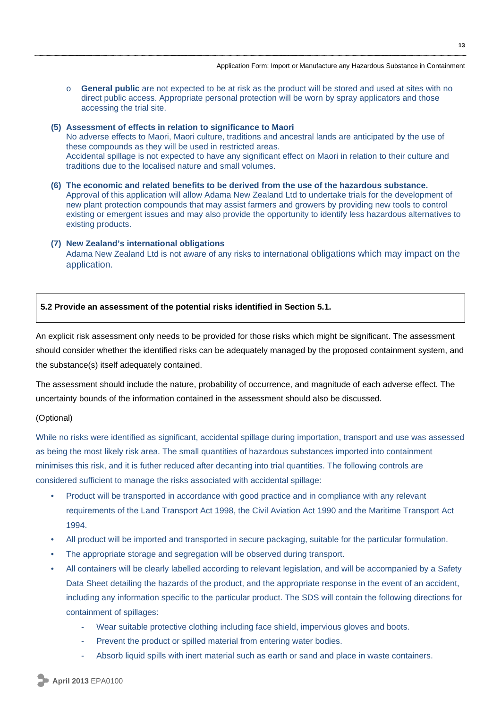o **General public** are not expected to be at risk as the product will be stored and used at sites with no direct public access. Appropriate personal protection will be worn by spray applicators and those accessing the trial site.

**(5) Assessment of effects in relation to significance to Maori**  No adverse effects to Maori, Maori culture, traditions and ancestral lands are anticipated by the use of these compounds as they will be used in restricted areas. Accidental spillage is not expected to have any significant effect on Maori in relation to their culture and traditions due to the localised nature and small volumes.

- **(6) The economic and related benefits to be derived from the use of the hazardous substance.**  Approval of this application will allow Adama New Zealand Ltd to undertake trials for the development of new plant protection compounds that may assist farmers and growers by providing new tools to control existing or emergent issues and may also provide the opportunity to identify less hazardous alternatives to existing products.
- **(7) New Zealand's international obligations**  Adama New Zealand Ltd is not aware of any risks to international obligations which may impact on the application.

#### **5.2 Provide an assessment of the potential risks identified in Section 5.1.**

An explicit risk assessment only needs to be provided for those risks which might be significant. The assessment should consider whether the identified risks can be adequately managed by the proposed containment system, and the substance(s) itself adequately contained.

The assessment should include the nature, probability of occurrence, and magnitude of each adverse effect. The uncertainty bounds of the information contained in the assessment should also be discussed.

#### (Optional)

While no risks were identified as significant, accidental spillage during importation, transport and use was assessed as being the most likely risk area. The small quantities of hazardous substances imported into containment minimises this risk, and it is futher reduced after decanting into trial quantities. The following controls are considered sufficient to manage the risks associated with accidental spillage:

- Product will be transported in accordance with good practice and in compliance with any relevant requirements of the Land Transport Act 1998, the Civil Aviation Act 1990 and the Maritime Transport Act 1994.
- All product will be imported and transported in secure packaging, suitable for the particular formulation.
- The appropriate storage and segregation will be observed during transport.
- All containers will be clearly labelled according to relevant legislation, and will be accompanied by a Safety Data Sheet detailing the hazards of the product, and the appropriate response in the event of an accident, including any information specific to the particular product. The SDS will contain the following directions for containment of spillages:
	- Wear suitable protective clothing including face shield, impervious gloves and boots.
	- Prevent the product or spilled material from entering water bodies.
	- Absorb liquid spills with inert material such as earth or sand and place in waste containers.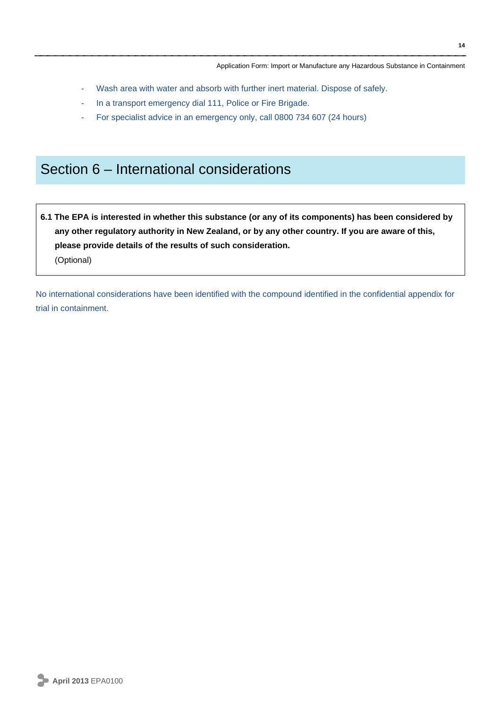- Wash area with water and absorb with further inert material. Dispose of safely.
- In a transport emergency dial 111, Police or Fire Brigade.
- For specialist advice in an emergency only, call 0800 734 607 (24 hours)

## Section 6 – International considerations

**6.1 The EPA is interested in whether this substance (or any of its components) has been considered by any other regulatory authority in New Zealand, or by any other country. If you are aware of this, please provide details of the results of such consideration.**  (Optional)

No international considerations have been identified with the compound identified in the confidential appendix for trial in containment.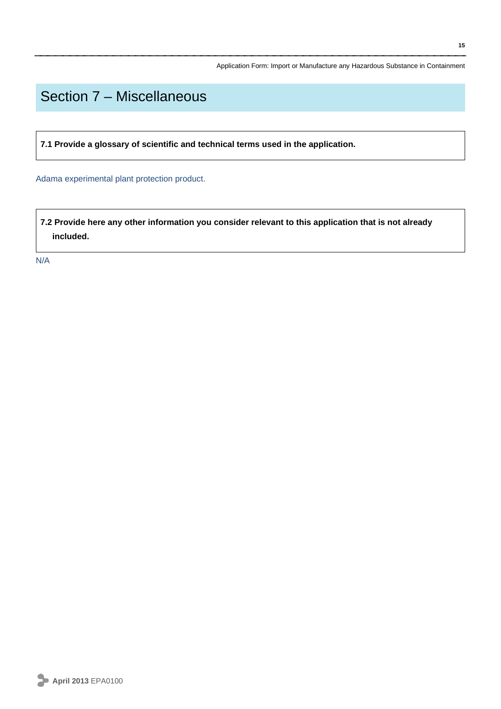## Section 7 – Miscellaneous

**7.1 Provide a glossary of scientific and technical terms used in the application.** 

Adama experimental plant protection product.

**7.2 Provide here any other information you consider relevant to this application that is not already included.**

N/A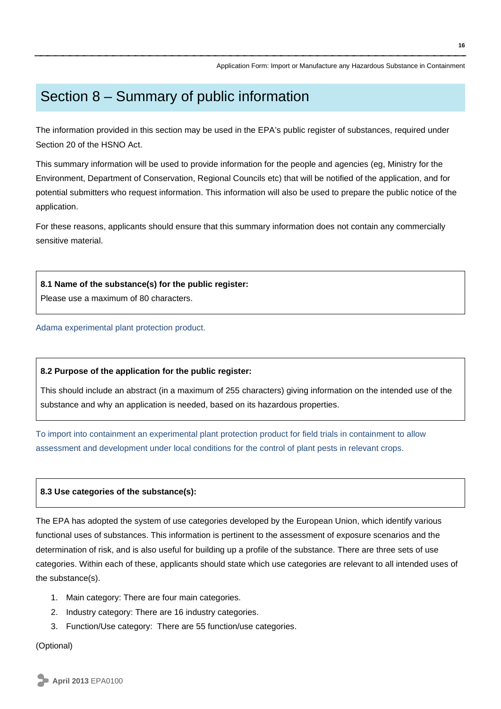## Section 8 – Summary of public information

The information provided in this section may be used in the EPA's public register of substances, required under Section 20 of the HSNO Act.

This summary information will be used to provide information for the people and agencies (eg, Ministry for the Environment, Department of Conservation, Regional Councils etc) that will be notified of the application, and for potential submitters who request information. This information will also be used to prepare the public notice of the application.

For these reasons, applicants should ensure that this summary information does not contain any commercially sensitive material.

#### **8.1 Name of the substance(s) for the public register:**

Please use a maximum of 80 characters.

#### Adama experimental plant protection product.

#### **8.2 Purpose of the application for the public register:**

This should include an abstract (in a maximum of 255 characters) giving information on the intended use of the substance and why an application is needed, based on its hazardous properties.

To import into containment an experimental plant protection product for field trials in containment to allow assessment and development under local conditions for the control of plant pests in relevant crops.

#### **8.3 Use categories of the substance(s):**

The EPA has adopted the system of use categories developed by the European Union, which identify various functional uses of substances. This information is pertinent to the assessment of exposure scenarios and the determination of risk, and is also useful for building up a profile of the substance. There are three sets of use categories. Within each of these, applicants should state which use categories are relevant to all intended uses of the substance(s).

- 1. Main category: There are four main categories.
- 2. Industry category: There are 16 industry categories.
- 3. Function/Use category: There are 55 function/use categories.

(Optional)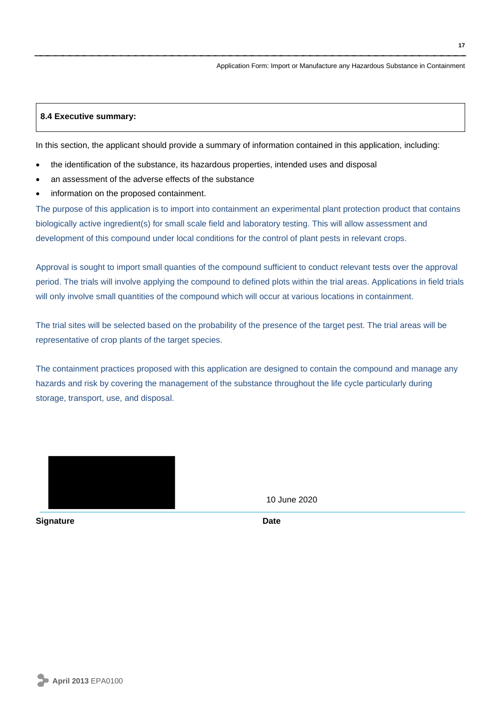#### **8.4 Executive summary:**

In this section, the applicant should provide a summary of information contained in this application, including:

- the identification of the substance, its hazardous properties, intended uses and disposal
- an assessment of the adverse effects of the substance
- information on the proposed containment.

The purpose of this application is to import into containment an experimental plant protection product that contains biologically active ingredient(s) for small scale field and laboratory testing. This will allow assessment and development of this compound under local conditions for the control of plant pests in relevant crops.

Approval is sought to import small quanties of the compound sufficient to conduct relevant tests over the approval period. The trials will involve applying the compound to defined plots within the trial areas. Applications in field trials will only involve small quantities of the compound which will occur at various locations in containment.

The trial sites will be selected based on the probability of the presence of the target pest. The trial areas will be representative of crop plants of the target species.

The containment practices proposed with this application are designed to contain the compound and manage any hazards and risk by covering the management of the substance throughout the life cycle particularly during storage, transport, use, and disposal.



**Signature Date** 

10 June 2020